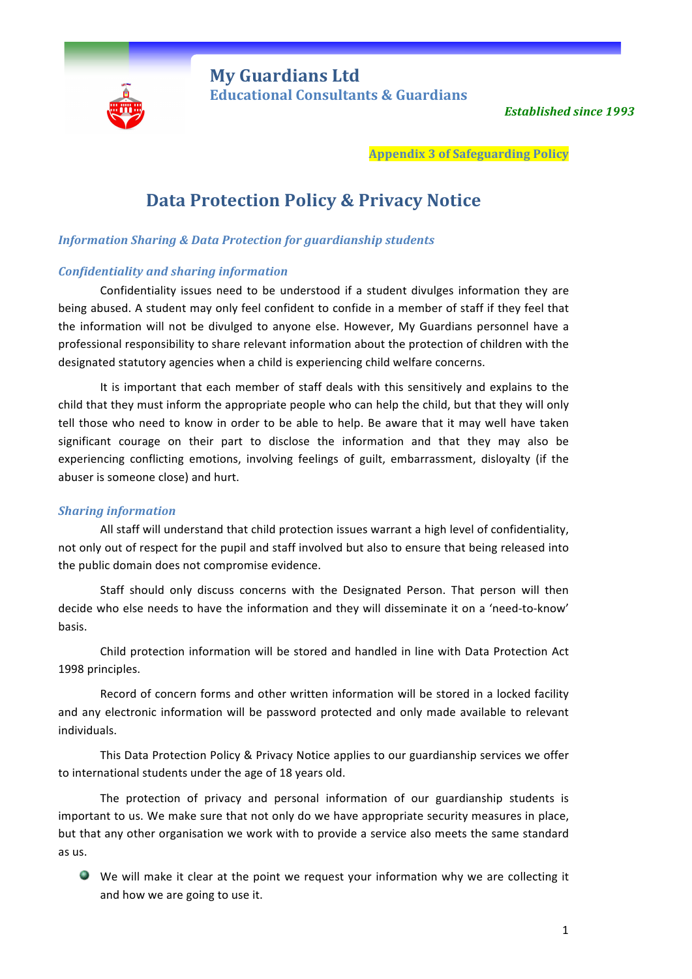

**My Guardians Ltd** **Educational Consultants & Guardians** 

**Established since 1993** 

**Appendix 3 of Safeguarding Policy**

# **Data Protection Policy & Privacy Notice**

# *Information Sharing & Data Protection for guardianship students*

## *Confidentiality and sharing information*

Confidentiality issues need to be understood if a student divulges information they are being abused. A student may only feel confident to confide in a member of staff if they feel that the information will not be divulged to anyone else. However, My Guardians personnel have a professional responsibility to share relevant information about the protection of children with the designated statutory agencies when a child is experiencing child welfare concerns.

It is important that each member of staff deals with this sensitively and explains to the child that they must inform the appropriate people who can help the child, but that they will only tell those who need to know in order to be able to help. Be aware that it may well have taken significant courage on their part to disclose the information and that they may also be experiencing conflicting emotions, involving feelings of guilt, embarrassment, disloyalty (if the abuser is someone close) and hurt.

## *Sharing information*

All staff will understand that child protection issues warrant a high level of confidentiality, not only out of respect for the pupil and staff involved but also to ensure that being released into the public domain does not compromise evidence.

Staff should only discuss concerns with the Designated Person. That person will then decide who else needs to have the information and they will disseminate it on a 'need-to-know' basis.

Child protection information will be stored and handled in line with Data Protection Act 1998 principles.

Record of concern forms and other written information will be stored in a locked facility and any electronic information will be password protected and only made available to relevant individuals. 

This Data Protection Policy & Privacy Notice applies to our guardianship services we offer to international students under the age of 18 years old.

The protection of privacy and personal information of our guardianship students is important to us. We make sure that not only do we have appropriate security measures in place, but that any other organisation we work with to provide a service also meets the same standard as us.

 $\bullet$  We will make it clear at the point we request your information why we are collecting it and how we are going to use it.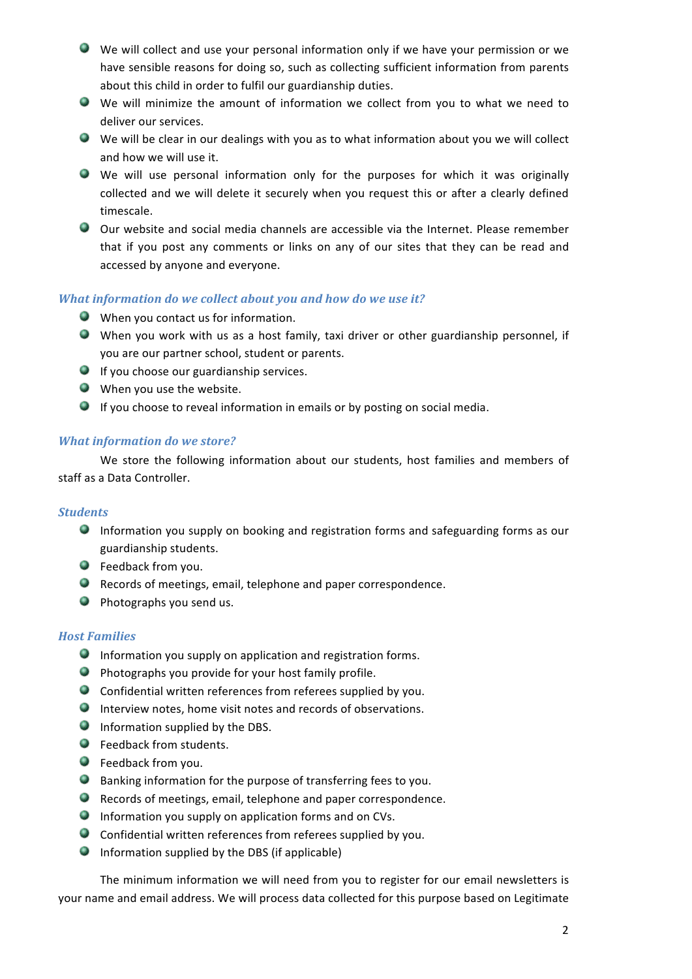- We will collect and use your personal information only if we have your permission or we have sensible reasons for doing so, such as collecting sufficient information from parents about this child in order to fulfil our guardianship duties.
- We will minimize the amount of information we collect from you to what we need to deliver our services.
- $\bullet$  We will be clear in our dealings with you as to what information about you we will collect and how we will use it.
- We will use personal information only for the purposes for which it was originally collected and we will delete it securely when you request this or after a clearly defined timescale.
- O Our website and social media channels are accessible via the Internet. Please remember that if you post any comments or links on any of our sites that they can be read and accessed by anyone and everyone.

# *What information do we collect about you and how do we use it?*

- $\bullet$  When you contact us for information.
- When you work with us as a host family, taxi driver or other guardianship personnel, if you are our partner school, student or parents.
- $\bullet$  If you choose our guardianship services.
- $\bullet$  When you use the website.
- $\bullet$  If you choose to reveal information in emails or by posting on social media.

# *What information do we store?*

We store the following information about our students, host families and members of staff as a Data Controller.

## *Students*

- **Information you supply on booking and registration forms and safeguarding forms as our** guardianship students.
- **O** Feedback from you.
- $\bullet$  Records of meetings, email, telephone and paper correspondence.
- $\bullet$  Photographs you send us.

# *Host Families*

- $\bullet$  Information you supply on application and registration forms.
- **Photographs you provide for your host family profile.**
- $\bullet$  Confidential written references from referees supplied by you.
- $\bullet$  Interview notes, home visit notes and records of observations.
- $\bullet$  Information supplied by the DBS.
- $\bullet$  Feedback from students.
- **C** Feedback from you.
- $\bullet$  Banking information for the purpose of transferring fees to you.
- $\bullet$  Records of meetings, email, telephone and paper correspondence.
- **Information you supply on application forms and on CVs.**
- $\bullet$  Confidential written references from referees supplied by you.
- $\bullet$  Information supplied by the DBS (if applicable)

The minimum information we will need from you to register for our email newsletters is your name and email address. We will process data collected for this purpose based on Legitimate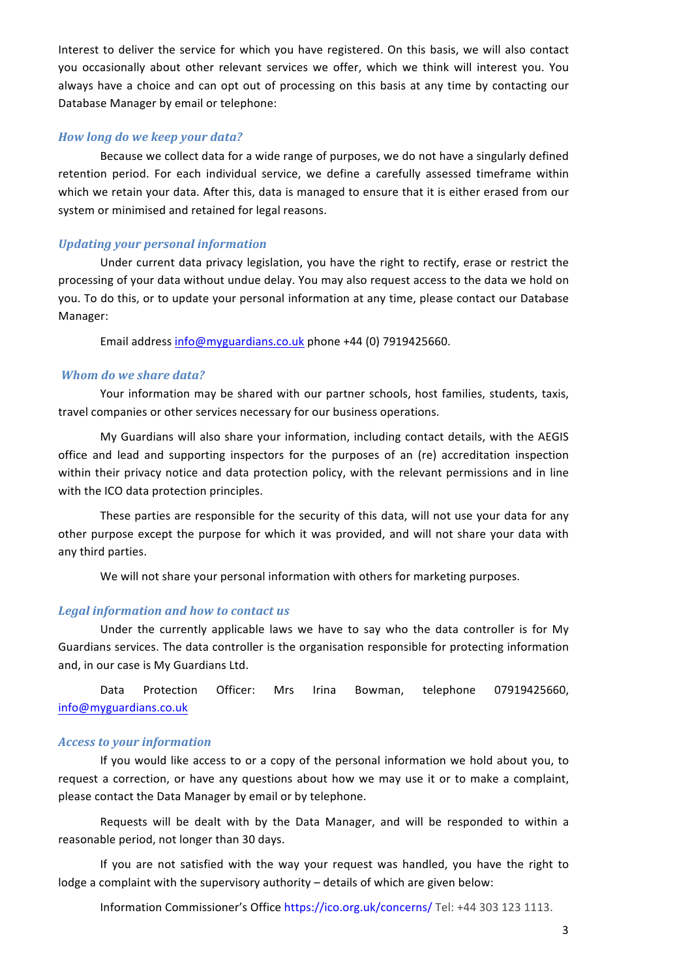Interest to deliver the service for which you have registered. On this basis, we will also contact you occasionally about other relevant services we offer, which we think will interest you. You always have a choice and can opt out of processing on this basis at any time by contacting our Database Manager by email or telephone:

### *How long do we keep your data?*

Because we collect data for a wide range of purposes, we do not have a singularly defined retention period. For each individual service, we define a carefully assessed timeframe within which we retain your data. After this, data is managed to ensure that it is either erased from our system or minimised and retained for legal reasons.

#### *Updating your personal information*

Under current data privacy legislation, you have the right to rectify, erase or restrict the processing of your data without undue delay. You may also request access to the data we hold on you. To do this, or to update your personal information at any time, please contact our Database Manager: 

Email address info@myguardians.co.uk phone +44 (0) 7919425660.

### *Whom do we share data?*

Your information may be shared with our partner schools, host families, students, taxis, travel companies or other services necessary for our business operations.

My Guardians will also share your information, including contact details, with the AEGIS office and lead and supporting inspectors for the purposes of an (re) accreditation inspection within their privacy notice and data protection policy, with the relevant permissions and in line with the ICO data protection principles.

These parties are responsible for the security of this data, will not use your data for any other purpose except the purpose for which it was provided, and will not share your data with any third parties.

We will not share your personal information with others for marketing purposes.

#### Legal information and how to contact us

Under the currently applicable laws we have to say who the data controller is for My Guardians services. The data controller is the organisation responsible for protecting information and, in our case is My Guardians Ltd.

Data Protection Officer: Mrs Irina Bowman, telephone 07919425660, info@myguardians.co.uk

#### *Access to your information*

If you would like access to or a copy of the personal information we hold about you, to request a correction, or have any questions about how we may use it or to make a complaint, please contact the Data Manager by email or by telephone.

Requests will be dealt with by the Data Manager, and will be responded to within a reasonable period, not longer than 30 days.

If you are not satisfied with the way your request was handled, you have the right to lodge a complaint with the supervisory authority - details of which are given below:

Information Commissioner's Office https://ico.org.uk/concerns/ Tel: +44 303 123 1113.